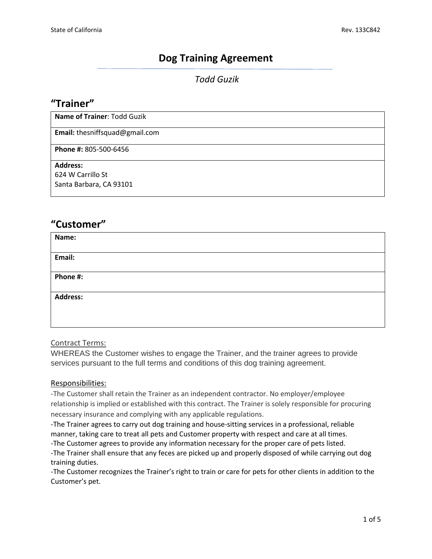## **Dog Training Agreement**

### *Todd Guzik*

## **"Trainer"**

**Name of Trainer**: Todd Guzik

**Email:** thesniffsquad@gmail.com

**Phone #:** 805-500-6456

#### **Address:**

624 W Carrillo St Santa Barbara, CA 93101

## **"Customer"**

| Name:           |  |
|-----------------|--|
|                 |  |
|                 |  |
| Email:          |  |
|                 |  |
|                 |  |
|                 |  |
| Phone #:        |  |
|                 |  |
|                 |  |
|                 |  |
| <b>Address:</b> |  |
|                 |  |
|                 |  |
|                 |  |
|                 |  |

#### Contract Terms:

WHEREAS the Customer wishes to engage the Trainer, and the trainer agrees to provide services pursuant to the full terms and conditions of this dog training agreement.

#### Responsibilities:

-The Customer shall retain the Trainer as an independent contractor. No employer/employee relationship is implied or established with this contract. The Trainer is solely responsible for procuring necessary insurance and complying with any applicable regulations.

-The Trainer agrees to carry out dog training and house-sitting services in a professional, reliable manner, taking care to treat all pets and Customer property with respect and care at all times.

-The Customer agrees to provide any information necessary for the proper care of pets listed.

-The Trainer shall ensure that any feces are picked up and properly disposed of while carrying out dog training duties.

-The Customer recognizes the Trainer's right to train or care for pets for other clients in addition to the Customer's pet.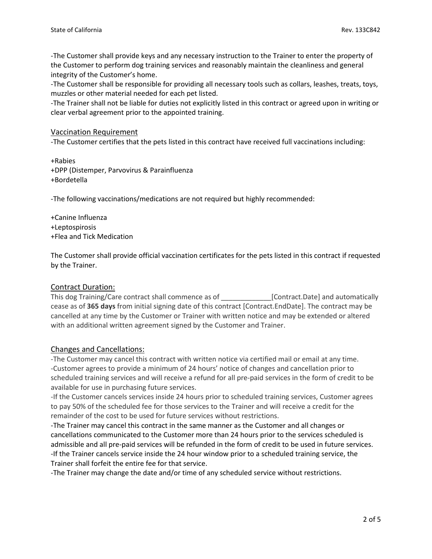-The Customer shall provide keys and any necessary instruction to the Trainer to enter the property of the Customer to perform dog training services and reasonably maintain the cleanliness and general integrity of the Customer's home.

-The Customer shall be responsible for providing all necessary tools such as collars, leashes, treats, toys, muzzles or other material needed for each pet listed.

-The Trainer shall not be liable for duties not explicitly listed in this contract or agreed upon in writing or clear verbal agreement prior to the appointed training.

#### Vaccination Requirement

-The Customer certifies that the pets listed in this contract have received full vaccinations including:

+Rabies +DPP (Distemper, Parvovirus & Parainfluenza +Bordetella

-The following vaccinations/medications are not required but highly recommended:

+Canine Influenza +Leptospirosis +Flea and Tick Medication

The Customer shall provide official vaccination certificates for the pets listed in this contract if requested by the Trainer.

#### Contract Duration:

This dog Training/Care contract shall commence as of \_\_\_\_\_\_\_\_\_\_\_\_\_[Contract.Date] and automatically cease as of **365 days** from initial signing date of this contract [Contract.EndDate]. The contract may be cancelled at any time by the Customer or Trainer with written notice and may be extended or altered with an additional written agreement signed by the Customer and Trainer.

#### Changes and Cancellations:

-The Customer may cancel this contract with written notice via certified mail or email at any time. -Customer agrees to provide a minimum of 24 hours' notice of changes and cancellation prior to scheduled training services and will receive a refund for all pre-paid services in the form of credit to be available for use in purchasing future services.

-If the Customer cancels services inside 24 hours prior to scheduled training services, Customer agrees to pay 50% of the scheduled fee for those services to the Trainer and will receive a credit for the remainder of the cost to be used for future services without restrictions.

-The Trainer may cancel this contract in the same manner as the Customer and all changes or cancellations communicated to the Customer more than 24 hours prior to the services scheduled is admissible and all pre-paid services will be refunded in the form of credit to be used in future services. -If the Trainer cancels service inside the 24 hour window prior to a scheduled training service, the Trainer shall forfeit the entire fee for that service.

-The Trainer may change the date and/or time of any scheduled service without restrictions.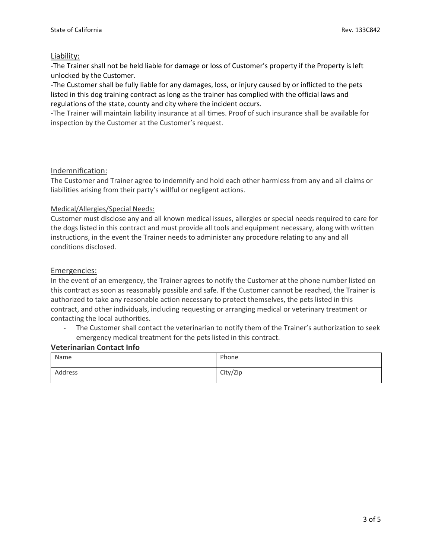#### Liability:

-The Trainer shall not be held liable for damage or loss of Customer's property if the Property is left unlocked by the Customer.

-The Customer shall be fully liable for any damages, loss, or injury caused by or inflicted to the pets listed in this dog training contract as long as the trainer has complied with the official laws and regulations of the state, county and city where the incident occurs.

-The Trainer will maintain liability insurance at all times. Proof of such insurance shall be available for inspection by the Customer at the Customer's request.

#### Indemnification:

The Customer and Trainer agree to indemnify and hold each other harmless from any and all claims or liabilities arising from their party's willful or negligent actions.

#### Medical/Allergies/Special Needs:

Customer must disclose any and all known medical issues, allergies or special needs required to care for the dogs listed in this contract and must provide all tools and equipment necessary, along with written instructions, in the event the Trainer needs to administer any procedure relating to any and all conditions disclosed.

#### Emergencies:

In the event of an emergency, the Trainer agrees to notify the Customer at the phone number listed on this contract as soon as reasonably possible and safe. If the Customer cannot be reached, the Trainer is authorized to take any reasonable action necessary to protect themselves, the pets listed in this contract, and other individuals, including requesting or arranging medical or veterinary treatment or contacting the local authorities.

The Customer shall contact the veterinarian to notify them of the Trainer's authorization to seek emergency medical treatment for the pets listed in this contract.

#### **Veterinarian Contact Info**

| Name    | Phone    |
|---------|----------|
| Address | City/Zip |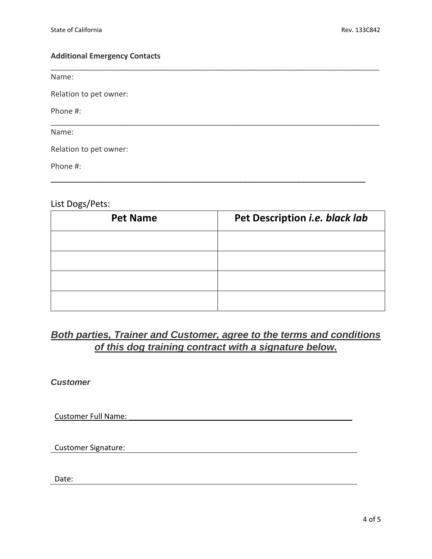#### **Additional Emergency Contacts**

Name:

Relation to pet owner:

Phone #:

Name:

Relation to pet owner:

Phone #:

## List Dogs/Pets:

| <b>Pet Name</b> | Pet Description i.e. black lab |  |
|-----------------|--------------------------------|--|
|                 |                                |  |
|                 |                                |  |
|                 |                                |  |
|                 |                                |  |

\_\_\_\_\_\_\_\_\_\_\_\_\_\_\_\_\_\_\_\_\_\_\_\_\_\_\_\_\_\_\_\_\_\_\_\_\_\_\_\_\_\_\_\_\_\_\_\_\_\_\_\_\_\_\_\_\_\_\_\_\_\_\_\_\_\_\_\_\_\_\_\_\_\_\_\_\_\_

\_\_\_\_\_\_\_\_\_\_\_\_\_\_\_\_\_\_\_\_\_\_\_\_\_\_\_\_\_\_\_\_\_\_\_\_\_\_\_\_\_\_\_\_\_\_\_\_\_\_\_\_\_\_\_\_\_\_\_\_\_\_\_\_\_\_\_\_\_\_\_\_\_\_\_\_\_\_

\_\_\_\_\_\_\_\_\_\_\_\_\_\_\_\_\_\_\_\_\_\_\_\_\_\_\_\_\_\_\_\_\_\_\_\_\_\_\_\_\_\_\_\_\_\_\_\_\_\_\_\_\_\_\_\_\_\_\_\_\_\_\_\_

# *Both parties, Trainer and Customer, agree to the terms and conditions of this dog training contract with a signature below.*

*Customer*

Customer Full Name:

Customer Signature:

Date: